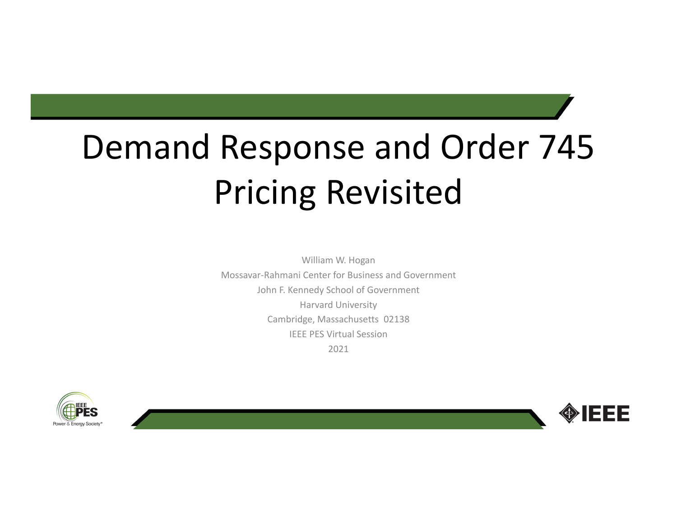# Demand Response and Order 745 Pricing Revisited

William W. Hogan Mossavar‐Rahmani Center for Business and Government John F. Kennedy School of Government Harvard University Cambridge, Massachusetts 02138 IEEE PES Virtual Session2021



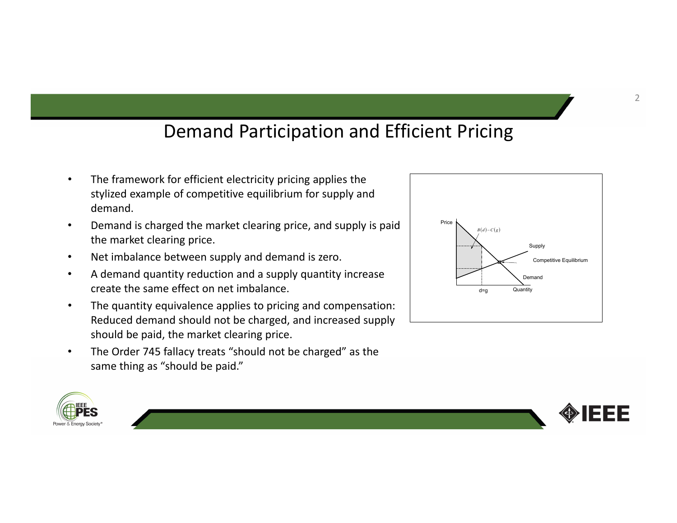### Demand Participation and Efficient Pricing

- • The framework for efficient electricity pricing applies the stylized example of competitive equilibrium for supply and demand.
- • Demand is charged the market clearing price, and supply is paid the market clearing price.
- •Net imbalance between supply and demand is zero.
- • A demand quantity reduction and <sup>a</sup> supply quantity increase create the same effect on net imbalance.
- • The quantity equivalence applies to pricing and compensation: Reduced demand should not be charged, and increased supply should be paid, the market clearing price.
- • The Order 745 fallacy treats "should not be charged" as the same thing as "should be paid."





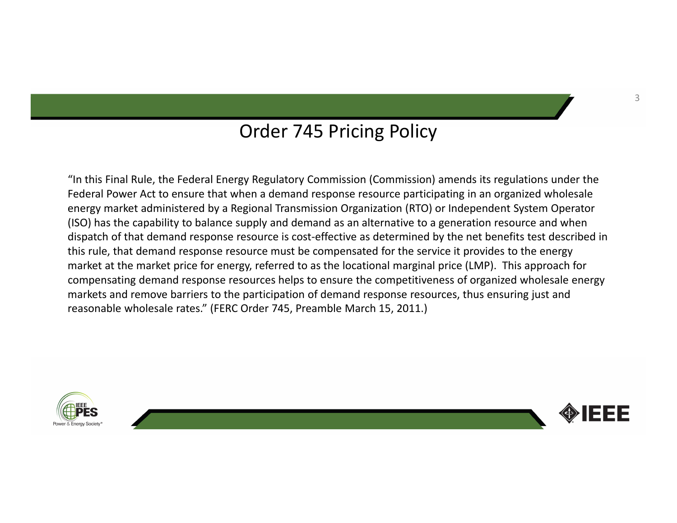#### Order 745 Pricing Policy

"In this Final Rule, the Federal Energy Regulatory Commission (Commission) amends its regulations under the Federal Power Act to ensure that when <sup>a</sup> demand response resource participating in an organized wholesale energy market administered by <sup>a</sup> Regional Transmission Organization (RTO) or Independent System Operator (ISO) has the capability to balance supply and demand as an alternative to <sup>a</sup> generation resource and when dispatch of that demand response resource is cost‐effective as determined by the net benefits test described in this rule, that demand response resource must be compensated for the service it provides to the energy market at the market price for energy, referred to as the locational marginal price (LMP). This approach for compensating demand response resources helps to ensure the competitiveness of organized wholesale energy markets and remove barriers to the participation of demand response resources, thus ensuring just and reasonable wholesale rates." (FERC Order 745, Preamble March 15, 2011.)



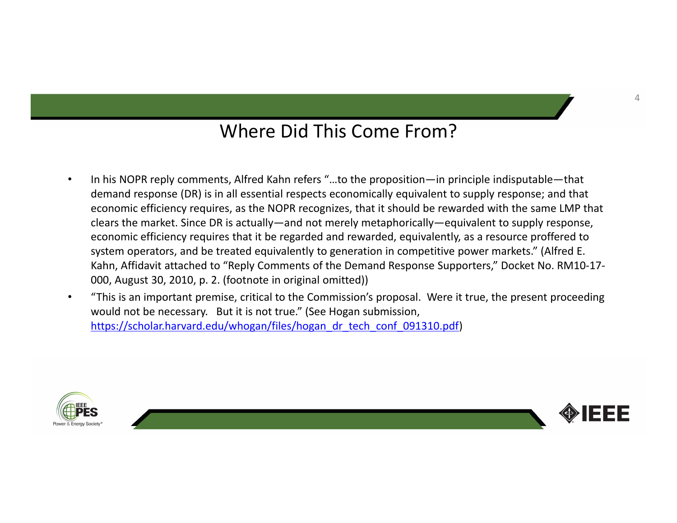### Where Did This Come From?

- $\bullet$ • In his NOPR reply comments, Alfred Kahn refers "...to the proposition—in principle indisputable—that • demand response (DR) is in all essential respects economically equivalent to supply response; and that economic efficiency requires, as the NOPR recognizes, that it should be rewarded with the same LMP that clears the market. Since DR is actually—and not merely metaphorically—equivalent to supply response, economic efficiency requires that it be regarded and rewarded, equivalently, as <sup>a</sup> resource proffered to system operators, and be treated equivalently to generation in competitive power markets." (Alfred E. Kahn, Affidavit attached to "Reply Comments of the Demand Response Supporters," Docket No. RM10‐17‐ 000, August 30, 2010, p. 2. (footnote in original omitted))
- • "This is an important premise, critical to the Commission's proposal. Were it true, the present proceeding would not be necessary. But it is not true." (See Hogan submission, https://scholar.harvard.edu/whogan/files/hogan\_dr\_tech\_conf\_091310.pdf)



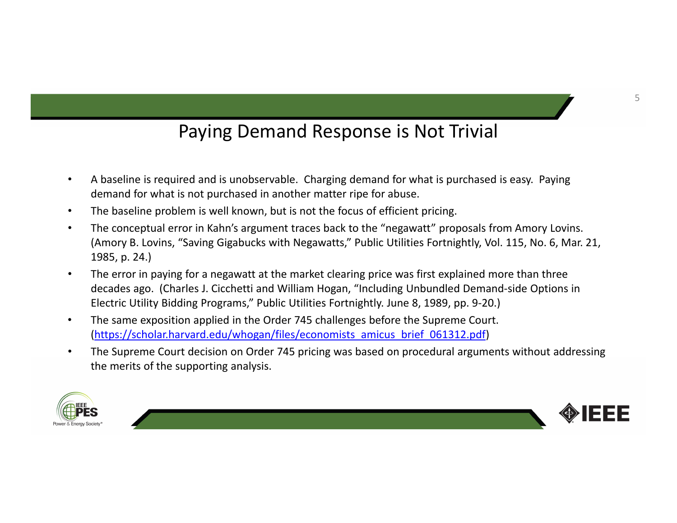# Paying Demand Response is Not Trivial

- • A baseline is required and is unobservable. Charging demand for what is purchased is easy. Paying demand for what is not purchased in another matter ripe for abuse.
- •The baseline problem is well known, but is not the focus of efficient pricing.
- • The conceptual error in Kahn's argument traces back to the "negawatt" proposals from Amory Lovins. (Amory B. Lovins, "Saving Gigabucks with Negawatts," Public Utilities Fortnightly, Vol. 115, No. 6, Mar. 21, 1985, p. 24.)
- • The error in paying for <sup>a</sup> negawatt at the market clearing price was first explained more than three decades ago. (Charles J. Cicchetti and William Hogan, "Including Unbundled Demand‐side Options in Electric Utility Bidding Programs," Public Utilities Fortnightly. June 8, 1989, pp. 9‐20.)
- • The same exposition applied in the Order 745 challenges before the Supreme Court. (https://scholar.harvard.edu/whogan/files/economists\_amicus\_brief\_061312.pdf)
- • The Supreme Court decision on Order 745 pricing was based on procedural arguments without addressing the merits of the supporting analysis.



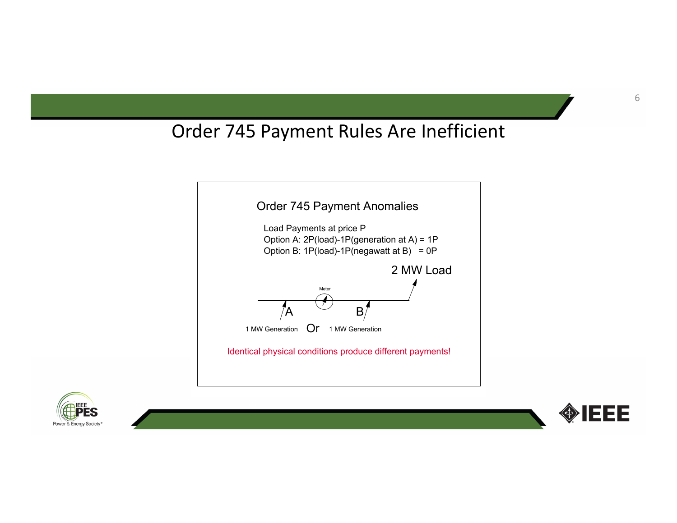# Order 745 Payment Rules Are Inefficient





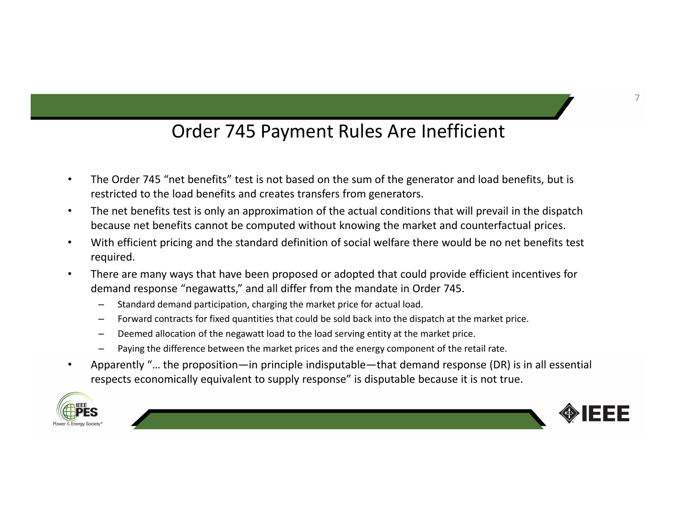# Order 745 Payment Rules Are Inefficient

- $\bullet$  The Order 745 "net benefits" test is not based on the sum of the generator and load benefits, but is restricted to the load benefits and creates transfers from generators.
- • The net benefits test is only an approximation of the actual conditions that will prevail in the dispatch because net benefits cannot be computed without knowing the market and counterfactual prices.
- • With efficient pricing and the standard definition of social welfare there would be no net benefits test required.
- • There are many ways that have been proposed or adopted that could provide efficient incentives for demand response "negawatts," and all differ from the mandate in Order 745.
	- Standard demand participation, charging the market price for actual load.
	- Forward contracts for fixed quantities that could be sold back into the dispatch at the market price.
	- Deemed allocation of the negawatt load to the load serving entity at the market price.
	- Paying the difference between the market prices and the energy component of the retail rate.
- • Apparently "… the proposition—in principle indisputable—that demand response (DR) is in all essential respects economically equivalent to supply response" is disputable because it is not true.